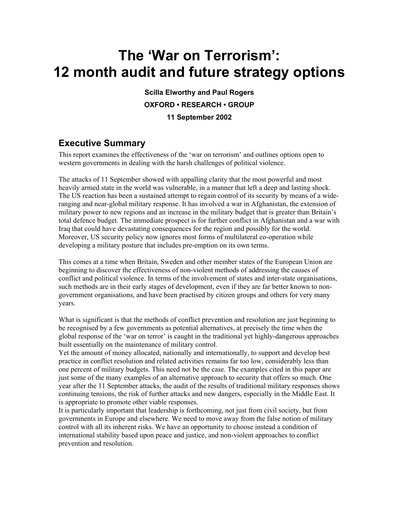# **The 'War on Terrorism': 12 month audit and future strategy options**

**Scilla Elworthy and Paul Rogers OXFORD • RESEARCH • GROUP 11 September 2002** 

# **Executive Summary**

This report examines the effectiveness of the 'war on terrorism' and outlines options open to western governments in dealing with the harsh challenges of political violence.

The attacks of 11 September showed with appalling clarity that the most powerful and most heavily armed state in the world was vulnerable, in a manner that left a deep and lasting shock. The US reaction has been a sustained attempt to regain control of its security by means of a wideranging and near-global military response. It has involved a war in Afghanistan, the extension of military power to new regions and an increase in the military budget that is greater than Britain's total defence budget. The immediate prospect is for further conflict in Afghanistan and a war with Iraq that could have devastating consequences for the region and possibly for the world. Moreover, US security policy now ignores most forms of multilateral co-operation while developing a military posture that includes pre-emption on its own terms.

This comes at a time when Britain, Sweden and other member states of the European Union are beginning to discover the effectiveness of non-violent methods of addressing the causes of conflict and political violence. In terms of the involvement of states and inter-state organisations, such methods are in their early stages of development, even if they are far better known to nongovernment organisations, and have been practised by citizen groups and others for very many years.

What is significant is that the methods of conflict prevention and resolution are just beginning to be recognised by a few governments as potential alternatives, at precisely the time when the global response of the 'war on terror' is caught in the traditional yet highly-dangerous approaches built essentially on the maintenance of military control.

Yet the amount of money allocated, nationally and internationally, to support and develop best practice in conflict resolution and related activities remains far too low, considerably less than one percent of military budgets. This need not be the case. The examples cited in this paper are just some of the many examples of an alternative approach to security that offers so much. One year after the 11 September attacks, the audit of the results of traditional military responses shows continuing tensions, the risk of further attacks and new dangers, especially in the Middle East. It is appropriate to promote other viable responses.

It is particularly important that leadership is forthcoming, not just from civil society, but from governments in Europe and elsewhere. We need to move away from the false notion of military control with all its inherent risks. We have an opportunity to choose instead a condition of international stability based upon peace and justice, and non-violent approaches to conflict prevention and resolution.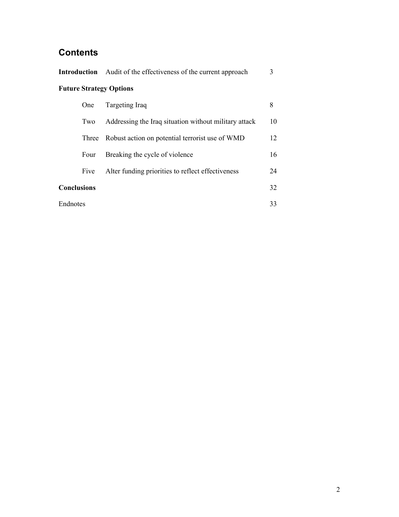# **Contents**

|                                |                    | <b>Introduction</b> Audit of the effectiveness of the current approach | 3  |  |  |
|--------------------------------|--------------------|------------------------------------------------------------------------|----|--|--|
| <b>Future Strategy Options</b> |                    |                                                                        |    |  |  |
|                                | One                | Targeting Iraq                                                         | 8  |  |  |
|                                | Two                | Addressing the Iraq situation without military attack                  | 10 |  |  |
|                                | Three              | Robust action on potential terrorist use of WMD                        | 12 |  |  |
|                                | Four               | Breaking the cycle of violence                                         | 16 |  |  |
|                                | Five               | Alter funding priorities to reflect effectiveness                      | 24 |  |  |
|                                | <b>Conclusions</b> |                                                                        |    |  |  |
| Endnotes                       |                    |                                                                        | 33 |  |  |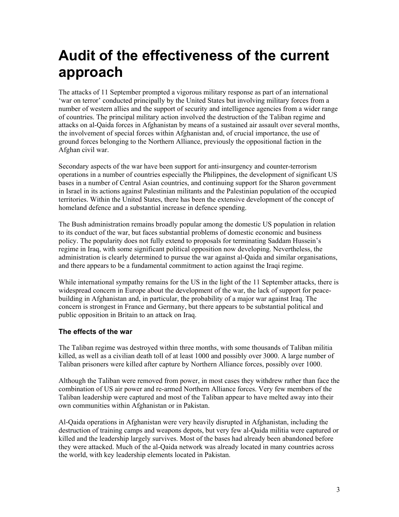# **Audit of the effectiveness of the current approach**

The attacks of 11 September prompted a vigorous military response as part of an international 'war on terror' conducted principally by the United States but involving military forces from a number of western allies and the support of security and intelligence agencies from a wider range of countries. The principal military action involved the destruction of the Taliban regime and attacks on al-Qaida forces in Afghanistan by means of a sustained air assault over several months, the involvement of special forces within Afghanistan and, of crucial importance, the use of ground forces belonging to the Northern Alliance, previously the oppositional faction in the Afghan civil war.

Secondary aspects of the war have been support for anti-insurgency and counter-terrorism operations in a number of countries especially the Philippines, the development of significant US bases in a number of Central Asian countries, and continuing support for the Sharon government in Israel in its actions against Palestinian militants and the Palestinian population of the occupied territories. Within the United States, there has been the extensive development of the concept of homeland defence and a substantial increase in defence spending.

The Bush administration remains broadly popular among the domestic US population in relation to its conduct of the war, but faces substantial problems of domestic economic and business policy. The popularity does not fully extend to proposals for terminating Saddam Hussein's regime in Iraq, with some significant political opposition now developing. Nevertheless, the administration is clearly determined to pursue the war against al-Qaida and similar organisations, and there appears to be a fundamental commitment to action against the Iraqi regime.

While international sympathy remains for the US in the light of the 11 September attacks, there is widespread concern in Europe about the development of the war, the lack of support for peacebuilding in Afghanistan and, in particular, the probability of a major war against Iraq. The concern is strongest in France and Germany, but there appears to be substantial political and public opposition in Britain to an attack on Iraq.

# **The effects of the war**

The Taliban regime was destroyed within three months, with some thousands of Taliban militia killed, as well as a civilian death toll of at least 1000 and possibly over 3000. A large number of Taliban prisoners were killed after capture by Northern Alliance forces, possibly over 1000.

Although the Taliban were removed from power, in most cases they withdrew rather than face the combination of US air power and re-armed Northern Alliance forces. Very few members of the Taliban leadership were captured and most of the Taliban appear to have melted away into their own communities within Afghanistan or in Pakistan.

Al-Qaida operations in Afghanistan were very heavily disrupted in Afghanistan, including the destruction of training camps and weapons depots, but very few al-Qaida militia were captured or killed and the leadership largely survives. Most of the bases had already been abandoned before they were attacked. Much of the al-Qaida network was already located in many countries across the world, with key leadership elements located in Pakistan.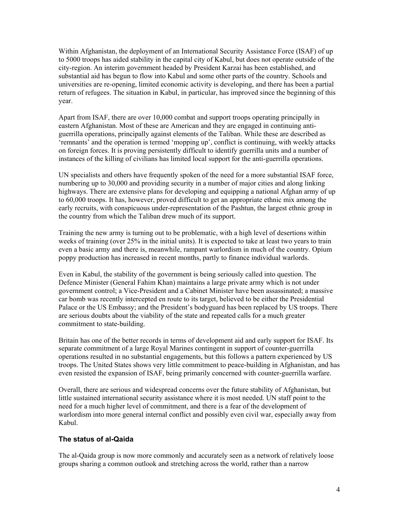Within Afghanistan, the deployment of an International Security Assistance Force (ISAF) of up to 5000 troops has aided stability in the capital city of Kabul, but does not operate outside of the city-region. An interim government headed by President Karzai has been established, and substantial aid has begun to flow into Kabul and some other parts of the country. Schools and universities are re-opening, limited economic activity is developing, and there has been a partial return of refugees. The situation in Kabul, in particular, has improved since the beginning of this year.

Apart from ISAF, there are over 10,000 combat and support troops operating principally in eastern Afghanistan. Most of these are American and they are engaged in continuing antiguerrilla operations, principally against elements of the Taliban. While these are described as 'remnants' and the operation is termed 'mopping up', conflict is continuing, with weekly attacks on foreign forces. It is proving persistently difficult to identify guerrilla units and a number of instances of the killing of civilians has limited local support for the anti-guerrilla operations.

UN specialists and others have frequently spoken of the need for a more substantial ISAF force, numbering up to 30,000 and providing security in a number of major cities and along linking highways. There are extensive plans for developing and equipping a national Afghan army of up to 60,000 troops. It has, however, proved difficult to get an appropriate ethnic mix among the early recruits, with conspicuous under-representation of the Pashtun, the largest ethnic group in the country from which the Taliban drew much of its support.

Training the new army is turning out to be problematic, with a high level of desertions within weeks of training (over 25% in the initial units). It is expected to take at least two years to train even a basic army and there is, meanwhile, rampant warlordism in much of the country. Opium poppy production has increased in recent months, partly to finance individual warlords.

Even in Kabul, the stability of the government is being seriously called into question. The Defence Minister (General Fahim Khan) maintains a large private army which is not under government control; a Vice-President and a Cabinet Minister have been assassinated; a massive car bomb was recently intercepted en route to its target, believed to be either the Presidential Palace or the US Embassy; and the President's bodyguard has been replaced by US troops. There are serious doubts about the viability of the state and repeated calls for a much greater commitment to state-building.

Britain has one of the better records in terms of development aid and early support for ISAF. Its separate commitment of a large Royal Marines contingent in support of counter-guerrilla operations resulted in no substantial engagements, but this follows a pattern experienced by US troops. The United States shows very little commitment to peace-building in Afghanistan, and has even resisted the expansion of ISAF, being primarily concerned with counter-guerrilla warfare.

Overall, there are serious and widespread concerns over the future stability of Afghanistan, but little sustained international security assistance where it is most needed. UN staff point to the need for a much higher level of commitment, and there is a fear of the development of warlordism into more general internal conflict and possibly even civil war, especially away from Kabul.

#### **The status of al-Qaida**

The al-Qaida group is now more commonly and accurately seen as a network of relatively loose groups sharing a common outlook and stretching across the world, rather than a narrow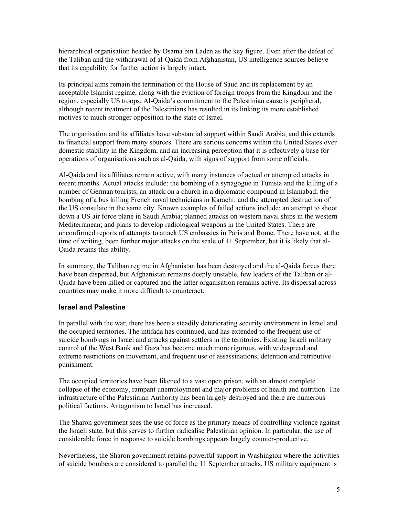hierarchical organisation headed by Osama bin Laden as the key figure. Even after the defeat of the Taliban and the withdrawal of al-Qaida from Afghanistan, US intelligence sources believe that its capability for further action is largely intact.

Its principal aims remain the termination of the House of Saud and its replacement by an acceptable Islamist regime, along with the eviction of foreign troops from the Kingdom and the region, especially US troops. Al-Qaida's commitment to the Palestinian cause is peripheral, although recent treatment of the Palestinians has resulted in its linking its more established motives to much stronger opposition to the state of Israel.

The organisation and its affiliates have substantial support within Saudi Arabia, and this extends to financial support from many sources. There are serious concerns within the United States over domestic stability in the Kingdom, and an increasing perception that it is effectively a base for operations of organisations such as al-Qaida, with signs of support from some officials.

Al-Qaida and its affiliates remain active, with many instances of actual or attempted attacks in recent months. Actual attacks include: the bombing of a synagogue in Tunisia and the killing of a number of German tourists; an attack on a church in a diplomatic compound in Islamabad; the bombing of a bus killing French naval technicians in Karachi; and the attempted destruction of the US consulate in the same city. Known examples of failed actions include: an attempt to shoot down a US air force plane in Saudi Arabia; planned attacks on western naval ships in the western Mediterranean; and plans to develop radiological weapons in the United States. There are unconfirmed reports of attempts to attack US embassies in Paris and Rome. There have not, at the time of writing, been further major attacks on the scale of 11 September, but it is likely that al-Qaida retains this ability.

In summary, the Taliban regime in Afghanistan has been destroyed and the al-Qaida forces there have been dispersed, but Afghanistan remains deeply unstable, few leaders of the Taliban or al-Qaida have been killed or captured and the latter organisation remains active. Its dispersal across countries may make it more difficult to counteract.

# **Israel and Palestine**

In parallel with the war, there has been a steadily deteriorating security environment in Israel and the occupied territories. The intifada has continued, and has extended to the frequent use of suicide bombings in Israel and attacks against settlers in the territories. Existing Israeli military control of the West Bank and Gaza has become much more rigorous, with widespread and extreme restrictions on movement, and frequent use of assassinations, detention and retributive punishment.

The occupied territories have been likened to a vast open prison, with an almost complete collapse of the economy, rampant unemployment and major problems of health and nutrition. The infrastructure of the Palestinian Authority has been largely destroyed and there are numerous political factions. Antagonism to Israel has increased.

The Sharon government sees the use of force as the primary means of controlling violence against the Israeli state, but this serves to further radicalise Palestinian opinion. In particular, the use of considerable force in response to suicide bombings appears largely counter-productive.

Nevertheless, the Sharon government retains powerful support in Washington where the activities of suicide bombers are considered to parallel the 11 September attacks. US military equipment is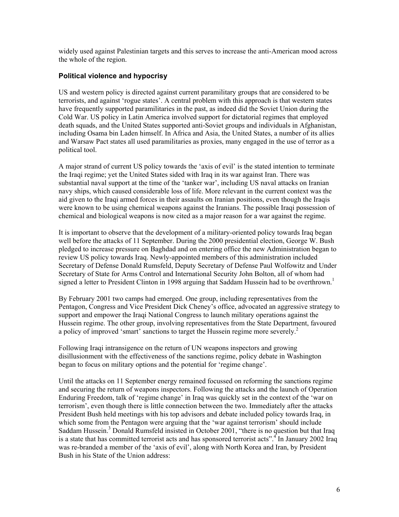widely used against Palestinian targets and this serves to increase the anti-American mood across the whole of the region.

# **Political violence and hypocrisy**

US and western policy is directed against current paramilitary groups that are considered to be terrorists, and against 'rogue states'. A central problem with this approach is that western states have frequently supported paramilitaries in the past, as indeed did the Soviet Union during the Cold War. US policy in Latin America involved support for dictatorial regimes that employed death squads, and the United States supported anti-Soviet groups and individuals in Afghanistan, including Osama bin Laden himself. In Africa and Asia, the United States, a number of its allies and Warsaw Pact states all used paramilitaries as proxies, many engaged in the use of terror as a political tool.

A major strand of current US policy towards the 'axis of evil' is the stated intention to terminate the Iraqi regime; yet the United States sided with Iraq in its war against Iran. There was substantial naval support at the time of the 'tanker war', including US naval attacks on Iranian navy ships, which caused considerable loss of life. More relevant in the current context was the aid given to the Iraqi armed forces in their assaults on Iranian positions, even though the Iraqis were known to be using chemical weapons against the Iranians. The possible Iraqi possession of chemical and biological weapons is now cited as a major reason for a war against the regime.

It is important to observe that the development of a military-oriented policy towards Iraq began well before the attacks of 11 September. During the 2000 presidential election, George W. Bush pledged to increase pressure on Baghdad and on entering office the new Administration began to review US policy towards Iraq. Newly-appointed members of this administration included Secretary of Defense Donald Rumsfeld, Deputy Secretary of Defense Paul Wolfowitz and Under Secretary of State for Arms Control and International Security John Bolton, all of whom had signed a letter to President Clinton in 1998 arguing that Saddam Hussein had to be overthrown.<sup>1</sup>

By February 2001 two camps had emerged. One group, including representatives from the Pentagon, Congress and Vice President Dick Cheney's office, advocated an aggressive strategy to support and empower the Iraqi National Congress to launch military operations against the Hussein regime. The other group, involving representatives from the State Department, favoured a policy of improved 'smart' sanctions to target the Hussein regime more severely. 2

Following Iraqi intransigence on the return of UN weapons inspectors and growing disillusionment with the effectiveness of the sanctions regime, policy debate in Washington began to focus on military options and the potential for 'regime change'.

Until the attacks on 11 September energy remained focussed on reforming the sanctions regime and securing the return of weapons inspectors. Following the attacks and the launch of Operation Enduring Freedom, talk of 'regime change' in Iraq was quickly set in the context of the 'war on terrorism', even though there is little connection between the two. Immediately after the attacks President Bush held meetings with his top advisors and debate included policy towards Iraq, in which some from the Pentagon were arguing that the 'war against terrorism' should include Saddam Hussein.<sup>3</sup> Donald Rumsfeld insisted in October 2001, "there is no question but that Iraq is a state that has committed terrorist acts and has sponsored terrorist acts".<sup>4</sup> In January 2002 Iraq was re-branded a member of the 'axis of evil', along with North Korea and Iran, by President Bush in his State of the Union address: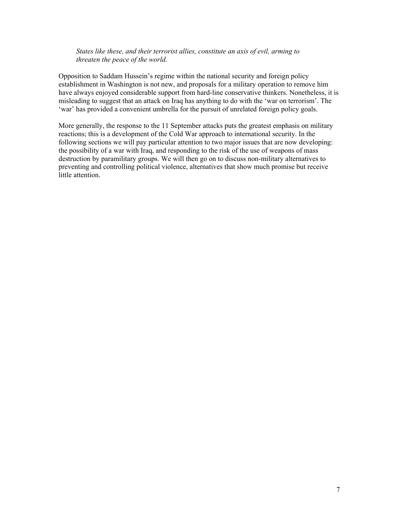#### *States like these, and their terrorist allies, constitute an axis of evil, arming to threaten the peace of the world.*

Opposition to Saddam Hussein's regime within the national security and foreign policy establishment in Washington is not new, and proposals for a military operation to remove him have always enjoyed considerable support from hard-line conservative thinkers. Nonetheless, it is misleading to suggest that an attack on Iraq has anything to do with the 'war on terrorism'. The 'war' has provided a convenient umbrella for the pursuit of unrelated foreign policy goals.

More generally, the response to the 11 September attacks puts the greatest emphasis on military reactions; this is a development of the Cold War approach to international security. In the following sections we will pay particular attention to two major issues that are now developing: the possibility of a war with Iraq, and responding to the risk of the use of weapons of mass destruction by paramilitary groups. We will then go on to discuss non-military alternatives to preventing and controlling political violence, alternatives that show much promise but receive little attention.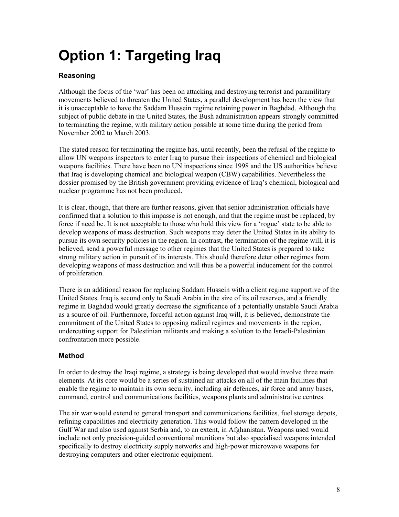# **Option 1: Targeting Iraq**

# **Reasoning**

Although the focus of the 'war' has been on attacking and destroying terrorist and paramilitary movements believed to threaten the United States, a parallel development has been the view that it is unacceptable to have the Saddam Hussein regime retaining power in Baghdad. Although the subject of public debate in the United States, the Bush administration appears strongly committed to terminating the regime, with military action possible at some time during the period from November 2002 to March 2003.

The stated reason for terminating the regime has, until recently, been the refusal of the regime to allow UN weapons inspectors to enter Iraq to pursue their inspections of chemical and biological weapons facilities. There have been no UN inspections since 1998 and the US authorities believe that Iraq is developing chemical and biological weapon (CBW) capabilities. Nevertheless the dossier promised by the British government providing evidence of Iraq's chemical, biological and nuclear programme has not been produced.

It is clear, though, that there are further reasons, given that senior administration officials have confirmed that a solution to this impasse is not enough, and that the regime must be replaced, by force if need be. It is not acceptable to those who hold this view for a 'rogue' state to be able to develop weapons of mass destruction. Such weapons may deter the United States in its ability to pursue its own security policies in the region. In contrast, the termination of the regime will, it is believed, send a powerful message to other regimes that the United States is prepared to take strong military action in pursuit of its interests. This should therefore deter other regimes from developing weapons of mass destruction and will thus be a powerful inducement for the control of proliferation.

There is an additional reason for replacing Saddam Hussein with a client regime supportive of the United States. Iraq is second only to Saudi Arabia in the size of its oil reserves, and a friendly regime in Baghdad would greatly decrease the significance of a potentially unstable Saudi Arabia as a source of oil. Furthermore, forceful action against Iraq will, it is believed, demonstrate the commitment of the United States to opposing radical regimes and movements in the region, undercutting support for Palestinian militants and making a solution to the Israeli-Palestinian confrontation more possible.

# **Method**

In order to destroy the Iraqi regime, a strategy is being developed that would involve three main elements. At its core would be a series of sustained air attacks on all of the main facilities that enable the regime to maintain its own security, including air defences, air force and army bases, command, control and communications facilities, weapons plants and administrative centres.

The air war would extend to general transport and communications facilities, fuel storage depots, refining capabilities and electricity generation. This would follow the pattern developed in the Gulf War and also used against Serbia and, to an extent, in Afghanistan. Weapons used would include not only precision-guided conventional munitions but also specialised weapons intended specifically to destroy electricity supply networks and high-power microwave weapons for destroying computers and other electronic equipment.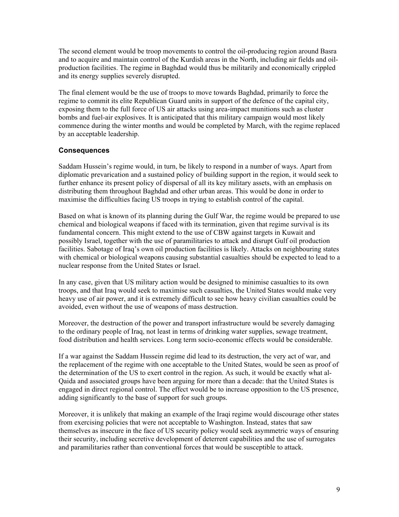The second element would be troop movements to control the oil-producing region around Basra and to acquire and maintain control of the Kurdish areas in the North, including air fields and oilproduction facilities. The regime in Baghdad would thus be militarily and economically crippled and its energy supplies severely disrupted.

The final element would be the use of troops to move towards Baghdad, primarily to force the regime to commit its elite Republican Guard units in support of the defence of the capital city, exposing them to the full force of US air attacks using area-impact munitions such as cluster bombs and fuel-air explosives. It is anticipated that this military campaign would most likely commence during the winter months and would be completed by March, with the regime replaced by an acceptable leadership.

# **Consequences**

Saddam Hussein's regime would, in turn, be likely to respond in a number of ways. Apart from diplomatic prevarication and a sustained policy of building support in the region, it would seek to further enhance its present policy of dispersal of all its key military assets, with an emphasis on distributing them throughout Baghdad and other urban areas. This would be done in order to maximise the difficulties facing US troops in trying to establish control of the capital.

Based on what is known of its planning during the Gulf War, the regime would be prepared to use chemical and biological weapons if faced with its termination, given that regime survival is its fundamental concern. This might extend to the use of CBW against targets in Kuwait and possibly Israel, together with the use of paramilitaries to attack and disrupt Gulf oil production facilities. Sabotage of Iraq's own oil production facilities is likely. Attacks on neighbouring states with chemical or biological weapons causing substantial casualties should be expected to lead to a nuclear response from the United States or Israel.

In any case, given that US military action would be designed to minimise casualties to its own troops, and that Iraq would seek to maximise such casualties, the United States would make very heavy use of air power, and it is extremely difficult to see how heavy civilian casualties could be avoided, even without the use of weapons of mass destruction.

Moreover, the destruction of the power and transport infrastructure would be severely damaging to the ordinary people of Iraq, not least in terms of drinking water supplies, sewage treatment, food distribution and health services. Long term socio-economic effects would be considerable.

If a war against the Saddam Hussein regime did lead to its destruction, the very act of war, and the replacement of the regime with one acceptable to the United States, would be seen as proof of the determination of the US to exert control in the region. As such, it would be exactly what al-Qaida and associated groups have been arguing for more than a decade: that the United States is engaged in direct regional control. The effect would be to increase opposition to the US presence, adding significantly to the base of support for such groups.

Moreover, it is unlikely that making an example of the Iraqi regime would discourage other states from exercising policies that were not acceptable to Washington. Instead, states that saw themselves as insecure in the face of US security policy would seek asymmetric ways of ensuring their security, including secretive development of deterrent capabilities and the use of surrogates and paramilitaries rather than conventional forces that would be susceptible to attack.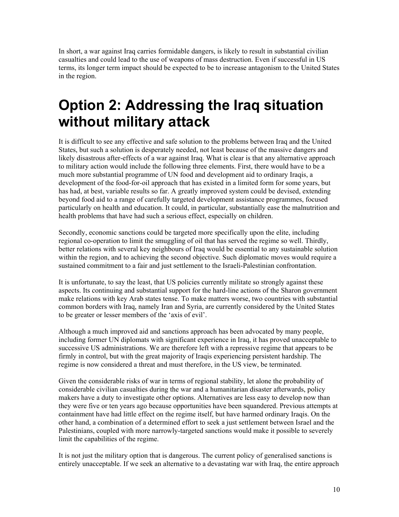In short, a war against Iraq carries formidable dangers, is likely to result in substantial civilian casualties and could lead to the use of weapons of mass destruction. Even if successful in US terms, its longer term impact should be expected to be to increase antagonism to the United States in the region.

# **Option 2: Addressing the Iraq situation without military attack**

It is difficult to see any effective and safe solution to the problems between Iraq and the United States, but such a solution is desperately needed, not least because of the massive dangers and likely disastrous after-effects of a war against Iraq. What is clear is that any alternative approach to military action would include the following three elements. First, there would have to be a much more substantial programme of UN food and development aid to ordinary Iraqis, a development of the food-for-oil approach that has existed in a limited form for some years, but has had, at best, variable results so far. A greatly improved system could be devised, extending beyond food aid to a range of carefully targeted development assistance programmes, focused particularly on health and education. It could, in particular, substantially ease the malnutrition and health problems that have had such a serious effect, especially on children.

Secondly, economic sanctions could be targeted more specifically upon the elite, including regional co-operation to limit the smuggling of oil that has served the regime so well. Thirdly, better relations with several key neighbours of Iraq would be essential to any sustainable solution within the region, and to achieving the second objective. Such diplomatic moves would require a sustained commitment to a fair and just settlement to the Israeli-Palestinian confrontation.

It is unfortunate, to say the least, that US policies currently militate so strongly against these aspects. Its continuing and substantial support for the hard-line actions of the Sharon government make relations with key Arab states tense. To make matters worse, two countries with substantial common borders with Iraq, namely Iran and Syria, are currently considered by the United States to be greater or lesser members of the 'axis of evil'.

Although a much improved aid and sanctions approach has been advocated by many people, including former UN diplomats with significant experience in Iraq, it has proved unacceptable to successive US administrations. We are therefore left with a repressive regime that appears to be firmly in control, but with the great majority of Iraqis experiencing persistent hardship. The regime is now considered a threat and must therefore, in the US view, be terminated.

Given the considerable risks of war in terms of regional stability, let alone the probability of considerable civilian casualties during the war and a humanitarian disaster afterwards, policy makers have a duty to investigate other options. Alternatives are less easy to develop now than they were five or ten years ago because opportunities have been squandered. Previous attempts at containment have had little effect on the regime itself, but have harmed ordinary Iraqis. On the other hand, a combination of a determined effort to seek a just settlement between Israel and the Palestinians, coupled with more narrowly-targeted sanctions would make it possible to severely limit the capabilities of the regime.

It is not just the military option that is dangerous. The current policy of generalised sanctions is entirely unacceptable. If we seek an alternative to a devastating war with Iraq, the entire approach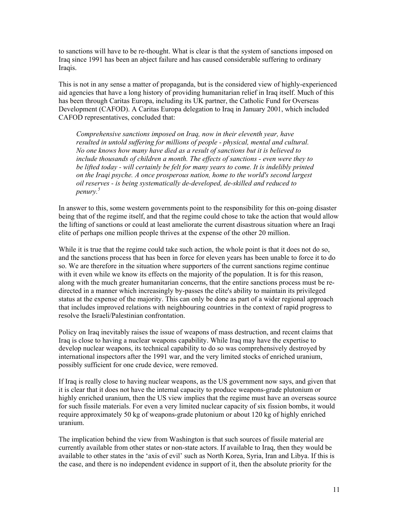to sanctions will have to be re-thought. What is clear is that the system of sanctions imposed on Iraq since 1991 has been an abject failure and has caused considerable suffering to ordinary Iraqis.

This is not in any sense a matter of propaganda, but is the considered view of highly-experienced aid agencies that have a long history of providing humanitarian relief in Iraq itself. Much of this has been through Caritas Europa, including its UK partner, the Catholic Fund for Overseas Development (CAFOD). A Caritas Europa delegation to Iraq in January 2001, which included CAFOD representatives, concluded that:

*Comprehensive sanctions imposed on Iraq, now in their eleventh year, have resulted in untold suffering for millions of people - physical, mental and cultural. No one knows how many have died as a result of sanctions but it is believed to include thousands of children a month. The effects of sanctions - even were they to be lifted today - will certainly be felt for many years to come. It is indelibly printed on the Iraqi psyche. A once prosperous nation, home to the world's second largest oil reserves - is being systematically de-developed, de-skilled and reduced to penury. 5* 

In answer to this, some western governments point to the responsibility for this on-going disaster being that of the regime itself, and that the regime could chose to take the action that would allow the lifting of sanctions or could at least ameliorate the current disastrous situation where an Iraqi elite of perhaps one million people thrives at the expense of the other 20 million.

While it is true that the regime could take such action, the whole point is that it does not do so, and the sanctions process that has been in force for eleven years has been unable to force it to do so. We are therefore in the situation where supporters of the current sanctions regime continue with it even while we know its effects on the majority of the population. It is for this reason, along with the much greater humanitarian concerns, that the entire sanctions process must be redirected in a manner which increasingly by-passes the elite's ability to maintain its privileged status at the expense of the majority. This can only be done as part of a wider regional approach that includes improved relations with neighbouring countries in the context of rapid progress to resolve the Israeli/Palestinian confrontation.

Policy on Iraq inevitably raises the issue of weapons of mass destruction, and recent claims that Iraq is close to having a nuclear weapons capability. While Iraq may have the expertise to develop nuclear weapons, its technical capability to do so was comprehensively destroyed by international inspectors after the 1991 war, and the very limited stocks of enriched uranium, possibly sufficient for one crude device, were removed.

If Iraq is really close to having nuclear weapons, as the US government now says, and given that it is clear that it does not have the internal capacity to produce weapons-grade plutonium or highly enriched uranium, then the US view implies that the regime must have an overseas source for such fissile materials. For even a very limited nuclear capacity of six fission bombs, it would require approximately 50 kg of weapons-grade plutonium or about 120 kg of highly enriched uranium.

The implication behind the view from Washington is that such sources of fissile material are currently available from other states or non-state actors. If available to Iraq, then they would be available to other states in the 'axis of evil' such as North Korea, Syria, Iran and Libya. If this is the case, and there is no independent evidence in support of it, then the absolute priority for the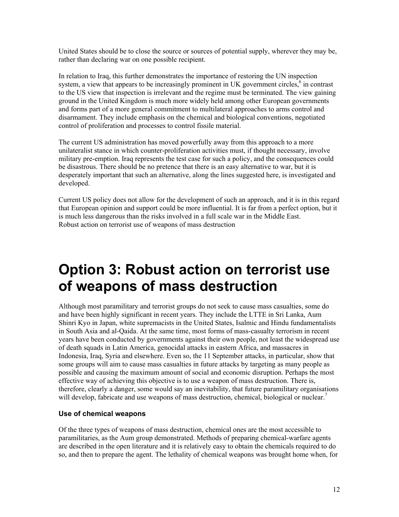United States should be to close the source or sources of potential supply, wherever they may be, rather than declaring war on one possible recipient.

In relation to Iraq, this further demonstrates the importance of restoring the UN inspection system, a view that appears to be increasingly prominent in UK government circles, $6$  in contrast to the US view that inspection is irrelevant and the regime must be terminated. The view gaining ground in the United Kingdom is much more widely held among other European governments and forms part of a more general commitment to multilateral approaches to arms control and disarmament. They include emphasis on the chemical and biological conventions, negotiated control of proliferation and processes to control fissile material.

The current US administration has moved powerfully away from this approach to a more unilateralist stance in which counter-proliferation activities must, if thought necessary, involve military pre-emption. Iraq represents the test case for such a policy, and the consequences could be disastrous. There should be no pretence that there is an easy alternative to war, but it is desperately important that such an alternative, along the lines suggested here, is investigated and developed.

Current US policy does not allow for the development of such an approach, and it is in this regard that European opinion and support could be more influential. It is far from a perfect option, but it is much less dangerous than the risks involved in a full scale war in the Middle East. Robust action on terrorist use of weapons of mass destruction

# **Option 3: Robust action on terrorist use of weapons of mass destruction**

Although most paramilitary and terrorist groups do not seek to cause mass casualties, some do and have been highly significant in recent years. They include the LTTE in Sri Lanka, Aum Shinri Kyo in Japan, white supremacists in the United States, Isalmic and Hindu fundamentalists in South Asia and al-Qaida. At the same time, most forms of mass-casualty terrorism in recent years have been conducted by governments against their own people, not least the widespread use of death squads in Latin America, genocidal attacks in eastern Africa, and massacres in Indonesia, Iraq, Syria and elsewhere. Even so, the 11 September attacks, in particular, show that some groups will aim to cause mass casualties in future attacks by targeting as many people as possible and causing the maximum amount of social and economic disruption. Perhaps the most effective way of achieving this objective is to use a weapon of mass destruction. There is, therefore, clearly a danger, some would say an inevitability, that future paramilitary organisations will develop, fabricate and use weapons of mass destruction, chemical, biological or nuclear.<sup>7</sup>

# **Use of chemical weapons**

Of the three types of weapons of mass destruction, chemical ones are the most accessible to paramilitaries, as the Aum group demonstrated. Methods of preparing chemical-warfare agents are described in the open literature and it is relatively easy to obtain the chemicals required to do so, and then to prepare the agent. The lethality of chemical weapons was brought home when, for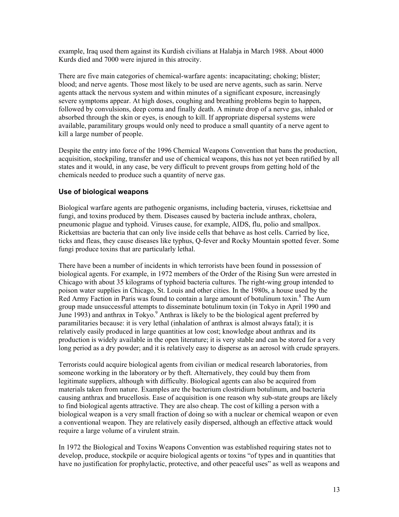example, Iraq used them against its Kurdish civilians at Halabja in March 1988. About 4000 Kurds died and 7000 were injured in this atrocity.

There are five main categories of chemical-warfare agents: incapacitating; choking; blister; blood; and nerve agents. Those most likely to be used are nerve agents, such as sarin. Nerve agents attack the nervous system and within minutes of a significant exposure, increasingly severe symptoms appear. At high doses, coughing and breathing problems begin to happen, followed by convulsions, deep coma and finally death. A minute drop of a nerve gas, inhaled or absorbed through the skin or eyes, is enough to kill. If appropriate dispersal systems were available, paramilitary groups would only need to produce a small quantity of a nerve agent to kill a large number of people.

Despite the entry into force of the 1996 Chemical Weapons Convention that bans the production, acquisition, stockpiling, transfer and use of chemical weapons, this has not yet been ratified by all states and it would, in any case, be very difficult to prevent groups from getting hold of the chemicals needed to produce such a quantity of nerve gas.

### **Use of biological weapons**

Biological warfare agents are pathogenic organisms, including bacteria, viruses, rickettsiae and fungi, and toxins produced by them. Diseases caused by bacteria include anthrax, cholera, pneumonic plague and typhoid. Viruses cause, for example, AIDS, flu, polio and smallpox. Rickettsias are bacteria that can only live inside cells that behave as host cells. Carried by lice, ticks and fleas, they cause diseases like typhus, Q-fever and Rocky Mountain spotted fever. Some fungi produce toxins that are particularly lethal.

There have been a number of incidents in which terrorists have been found in possession of biological agents. For example, in 1972 members of the Order of the Rising Sun were arrested in Chicago with about 35 kilograms of typhoid bacteria cultures. The right-wing group intended to poison water supplies in Chicago, St. Louis and other cities. In the 1980s, a house used by the Red Army Faction in Paris was found to contain a large amount of botulinum toxin.<sup>8</sup> The Aum group made unsuccessful attempts to disseminate botulinum toxin (in Tokyo in April 1990 and June 1993) and anthrax in Tokyo.<sup>9</sup> Anthrax is likely to be the biological agent preferred by paramilitaries because: it is very lethal (inhalation of anthrax is almost always fatal); it is relatively easily produced in large quantities at low cost; knowledge about anthrax and its production is widely available in the open literature; it is very stable and can be stored for a very long period as a dry powder; and it is relatively easy to disperse as an aerosol with crude sprayers.

Terrorists could acquire biological agents from civilian or medical research laboratories, from someone working in the laboratory or by theft. Alternatively, they could buy them from legitimate suppliers, although with difficulty. Biological agents can also be acquired from materials taken from nature. Examples are the bacterium clostridium botulinum, and bacteria causing anthrax and brucellosis. Ease of acquisition is one reason why sub-state groups are likely to find biological agents attractive. They are also cheap. The cost of killing a person with a biological weapon is a very small fraction of doing so with a nuclear or chemical weapon or even a conventional weapon. They are relatively easily dispersed, although an effective attack would require a large volume of a virulent strain.

In 1972 the Biological and Toxins Weapons Convention was established requiring states not to develop, produce, stockpile or acquire biological agents or toxins "of types and in quantities that have no justification for prophylactic, protective, and other peaceful uses" as well as weapons and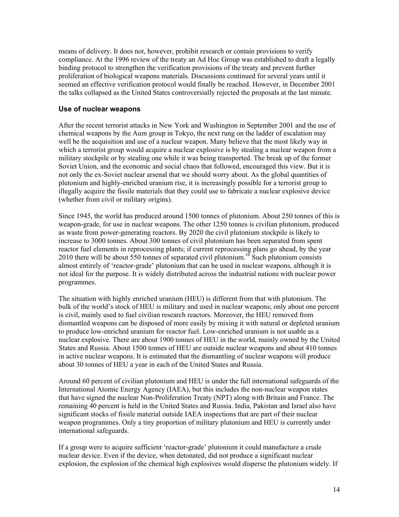means of delivery. It does not, however, prohibit research or contain provisions to verify compliance. At the 1996 review of the treaty an Ad Hoc Group was established to draft a legally binding protocol to strengthen the verification provisions of the treaty and prevent further proliferation of biological weapons materials. Discussions continued for several years until it seemed an effective verification protocol would finally be reached. However, in December 2001 the talks collapsed as the United States controversially rejected the proposals at the last minute.

### **Use of nuclear weapons**

After the recent terrorist attacks in New York and Washington in September 2001 and the use of chemical weapons by the Aum group in Tokyo, the next rung on the ladder of escalation may well be the acquisition and use of a nuclear weapon. Many believe that the most likely way in which a terrorist group would acquire a nuclear explosive is by stealing a nuclear weapon from a military stockpile or by stealing one while it was being transported. The break up of the former Soviet Union, and the economic and social chaos that followed, encouraged this view. But it is not only the ex-Soviet nuclear arsenal that we should worry about. As the global quantities of plutonium and highly-enriched uranium rise, it is increasingly possible for a terrorist group to illegally acquire the fissile materials that they could use to fabricate a nuclear explosive device (whether from civil or military origins).

Since 1945, the world has produced around 1500 tonnes of plutonium. About 250 tonnes of this is weapon-grade, for use in nuclear weapons. The other 1250 tonnes is civilian plutonium, produced as waste from power-generating reactors. By 2020 the civil plutonium stockpile is likely to increase to 3000 tonnes. About 300 tonnes of civil plutonium has been separated from spent reactor fuel elements in reprocessing plants; if current reprocessing plans go ahead, by the year 2010 there will be about 550 tonnes of separated civil plutonium.<sup>10</sup> Such plutonium consists almost entirely of 'reactor-grade' plutonium that can be used in nuclear weapons, although it is not ideal for the purpose. It is widely distributed across the industrial nations with nuclear power programmes.

The situation with highly enriched uranium (HEU) is different from that with plutonium. The bulk of the world's stock of HEU is military and used in nuclear weapons; only about one percent is civil, mainly used to fuel civilian research reactors. Moreover, the HEU removed from dismantled weapons can be disposed of more easily by mixing it with natural or depleted uranium to produce low-enriched uranium for reactor fuel. Low-enriched uranium is not usable as a nuclear explosive. There are about 1900 tonnes of HEU in the world, mainly owned by the United States and Russia. About 1500 tonnes of HEU are outside nuclear weapons and about 410 tonnes in active nuclear weapons. It is estimated that the dismantling of nuclear weapons will produce about 30 tonnes of HEU a year in each of the United States and Russia.

Around 60 percent of civilian plutonium and HEU is under the full international safeguards of the International Atomic Energy Agency (IAEA), but this includes the non-nuclear weapon states that have signed the nuclear Non-Proliferation Treaty (NPT) along with Britain and France. The remaining 40 percent is held in the United States and Russia. India, Pakistan and Israel also have significant stocks of fissile material outside IAEA inspections that are part of their nuclear weapon programmes. Only a tiny proportion of military plutonium and HEU is currently under international safeguards.

If a group were to acquire sufficient 'reactor-grade' plutonium it could manufacture a crude nuclear device. Even if the device, when detonated, did not produce a significant nuclear explosion, the explosion of the chemical high explosives would disperse the plutonium widely. If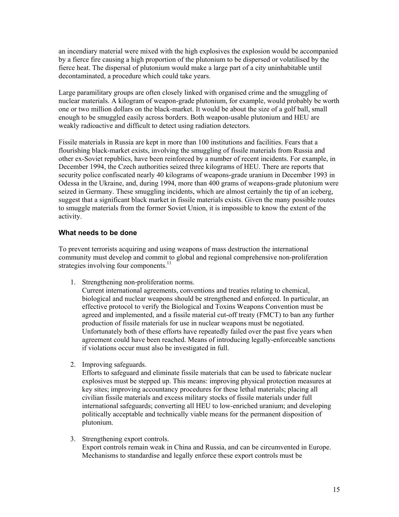an incendiary material were mixed with the high explosives the explosion would be accompanied by a fierce fire causing a high proportion of the plutonium to be dispersed or volatilised by the fierce heat. The dispersal of plutonium would make a large part of a city uninhabitable until decontaminated, a procedure which could take years.

Large paramilitary groups are often closely linked with organised crime and the smuggling of nuclear materials. A kilogram of weapon-grade plutonium, for example, would probably be worth one or two million dollars on the black-market. It would be about the size of a golf ball, small enough to be smuggled easily across borders. Both weapon-usable plutonium and HEU are weakly radioactive and difficult to detect using radiation detectors.

Fissile materials in Russia are kept in more than 100 institutions and facilities. Fears that a flourishing black-market exists, involving the smuggling of fissile materials from Russia and other ex-Soviet republics, have been reinforced by a number of recent incidents. For example, in December 1994, the Czech authorities seized three kilograms of HEU. There are reports that security police confiscated nearly 40 kilograms of weapons-grade uranium in December 1993 in Odessa in the Ukraine, and, during 1994, more than 400 grams of weapons-grade plutonium were seized in Germany. These smuggling incidents, which are almost certainly the tip of an iceberg, suggest that a significant black market in fissile materials exists. Given the many possible routes to smuggle materials from the former Soviet Union, it is impossible to know the extent of the activity.

### **What needs to be done**

To prevent terrorists acquiring and using weapons of mass destruction the international community must develop and commit to global and regional comprehensive non-proliferation strategies involving four components.<sup>11</sup>

1. Strengthening non-proliferation norms.

Current international agreements, conventions and treaties relating to chemical, biological and nuclear weapons should be strengthened and enforced. In particular, an effective protocol to verify the Biological and Toxins Weapons Convention must be agreed and implemented, and a fissile material cut-off treaty (FMCT) to ban any further production of fissile materials for use in nuclear weapons must be negotiated. Unfortunately both of these efforts have repeatedly failed over the past five years when agreement could have been reached. Means of introducing legally-enforceable sanctions if violations occur must also be investigated in full.

2. Improving safeguards.

Efforts to safeguard and eliminate fissile materials that can be used to fabricate nuclear explosives must be stepped up. This means: improving physical protection measures at key sites; improving accountancy procedures for these lethal materials; placing all civilian fissile materials and excess military stocks of fissile materials under full international safeguards; converting all HEU to low-enriched uranium; and developing politically acceptable and technically viable means for the permanent disposition of plutonium.

3. Strengthening export controls. Export controls remain weak in China and Russia, and can be circumvented in Europe. Mechanisms to standardise and legally enforce these export controls must be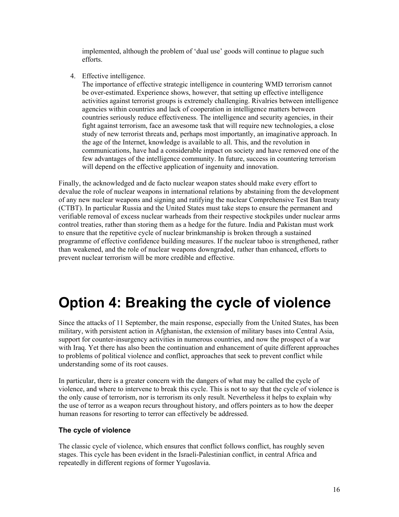implemented, although the problem of 'dual use' goods will continue to plague such efforts.

4. Effective intelligence.

The importance of effective strategic intelligence in countering WMD terrorism cannot be over-estimated. Experience shows, however, that setting up effective intelligence activities against terrorist groups is extremely challenging. Rivalries between intelligence agencies within countries and lack of cooperation in intelligence matters between countries seriously reduce effectiveness. The intelligence and security agencies, in their fight against terrorism, face an awesome task that will require new technologies, a close study of new terrorist threats and, perhaps most importantly, an imaginative approach. In the age of the Internet, knowledge is available to all. This, and the revolution in communications, have had a considerable impact on society and have removed one of the few advantages of the intelligence community. In future, success in countering terrorism will depend on the effective application of ingenuity and innovation.

Finally, the acknowledged and de facto nuclear weapon states should make every effort to devalue the role of nuclear weapons in international relations by abstaining from the development of any new nuclear weapons and signing and ratifying the nuclear Comprehensive Test Ban treaty (CTBT). In particular Russia and the United States must take steps to ensure the permanent and verifiable removal of excess nuclear warheads from their respective stockpiles under nuclear arms control treaties, rather than storing them as a hedge for the future. India and Pakistan must work to ensure that the repetitive cycle of nuclear brinkmanship is broken through a sustained programme of effective confidence building measures. If the nuclear taboo is strengthened, rather than weakened, and the role of nuclear weapons downgraded, rather than enhanced, efforts to prevent nuclear terrorism will be more credible and effective.

# **Option 4: Breaking the cycle of violence**

Since the attacks of 11 September, the main response, especially from the United States, has been military, with persistent action in Afghanistan, the extension of military bases into Central Asia, support for counter-insurgency activities in numerous countries, and now the prospect of a war with Iraq. Yet there has also been the continuation and enhancement of quite different approaches to problems of political violence and conflict, approaches that seek to prevent conflict while understanding some of its root causes.

In particular, there is a greater concern with the dangers of what may be called the cycle of violence, and where to intervene to break this cycle. This is not to say that the cycle of violence is the only cause of terrorism, nor is terrorism its only result. Nevertheless it helps to explain why the use of terror as a weapon recurs throughout history, and offers pointers as to how the deeper human reasons for resorting to terror can effectively be addressed.

# **The cycle of violence**

The classic cycle of violence, which ensures that conflict follows conflict, has roughly seven stages. This cycle has been evident in the Israeli-Palestinian conflict, in central Africa and repeatedly in different regions of former Yugoslavia.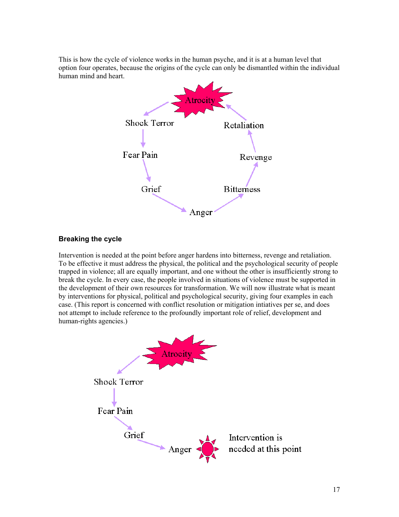This is how the cycle of violence works in the human psyche, and it is at a human level that option four operates, because the origins of the cycle can only be dismantled within the individual human mind and heart.



# **Breaking the cycle**

Intervention is needed at the point before anger hardens into bitterness, revenge and retaliation. To be effective it must address the physical, the political and the psychological security of people trapped in violence; all are equally important, and one without the other is insufficiently strong to break the cycle. In every case, the people involved in situations of violence must be supported in the development of their own resources for transformation. We will now illustrate what is meant by interventions for physical, political and psychological security, giving four examples in each case. (This report is concerned with conflict resolution or mitigation intiatives per se, and does not attempt to include reference to the profoundly important role of relief, development and human-rights agencies.)

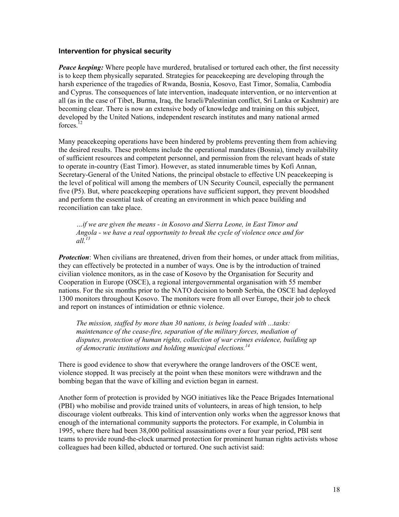#### **Intervention for physical security**

*Peace keeping:* Where people have murdered, brutalised or tortured each other, the first necessity is to keep them physically separated. Strategies for peacekeeping are developing through the harsh experience of the tragedies of Rwanda, Bosnia, Kosovo, East Timor, Somalia, Cambodia and Cyprus. The consequences of late intervention, inadequate intervention, or no intervention at all (as in the case of Tibet, Burma, Iraq, the Israeli/Palestinian conflict, Sri Lanka or Kashmir) are becoming clear. There is now an extensive body of knowledge and training on this subject, developed by the United Nations, independent research institutes and many national armed forces.<sup>12</sup>

Many peacekeeping operations have been hindered by problems preventing them from achieving the desired results. These problems include the operational mandates (Bosnia), timely availability of sufficient resources and competent personnel, and permission from the relevant heads of state to operate in-country (East Timor). However, as stated innumerable times by Kofi Annan, Secretary-General of the United Nations, the principal obstacle to effective UN peacekeeping is the level of political will among the members of UN Security Council, especially the permanent five (P5). But, where peacekeeping operations have sufficient support, they prevent bloodshed and perform the essential task of creating an environment in which peace building and reconciliation can take place.

*…if we are given the means - in Kosovo and Sierra Leone, in East Timor and Angola - we have a real opportunity to break the cycle of violence once and for all.<sup>13</sup>*

*Protection*: When civilians are threatened, driven from their homes, or under attack from militias, they can effectively be protected in a number of ways. One is by the introduction of trained civilian violence monitors, as in the case of Kosovo by the Organisation for Security and Cooperation in Europe (OSCE), a regional intergovernmental organisation with 55 member nations. For the six months prior to the NATO decision to bomb Serbia, the OSCE had deployed 1300 monitors throughout Kosovo. The monitors were from all over Europe, their job to check and report on instances of intimidation or ethnic violence.

*The mission, staffed by more than 30 nations, is being loaded with ...tasks: maintenance of the cease-fire, separation of the military forces, mediation of disputes, protection of human rights, collection of war crimes evidence, building up of democratic institutions and holding municipal elections.14*

There is good evidence to show that everywhere the orange landrovers of the OSCE went, violence stopped. It was precisely at the point when these monitors were withdrawn and the bombing began that the wave of killing and eviction began in earnest.

Another form of protection is provided by NGO initiatives like the Peace Brigades International (PBI) who mobilise and provide trained units of volunteers, in areas of high tension, to help discourage violent outbreaks. This kind of intervention only works when the aggressor knows that enough of the international community supports the protectors. For example, in Columbia in 1995, where there had been 38,000 political assassinations over a four year period, PBI sent teams to provide round-the-clock unarmed protection for prominent human rights activists whose colleagues had been killed, abducted or tortured. One such activist said: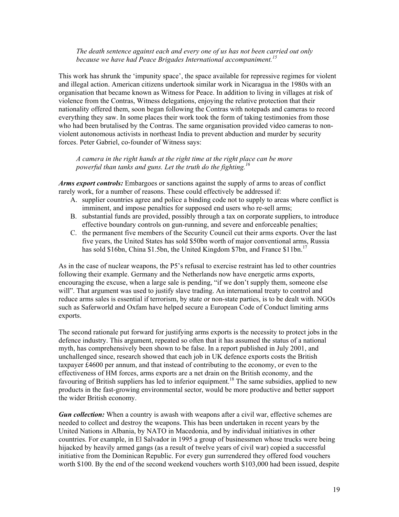#### *The death sentence against each and every one of us has not been carried out only because we have had Peace Brigades International accompaniment.<sup>15</sup>*

This work has shrunk the 'impunity space', the space available for repressive regimes for violent and illegal action. American citizens undertook similar work in Nicaragua in the 1980s with an organisation that became known as Witness for Peace. In addition to living in villages at risk of violence from the Contras, Witness delegations, enjoying the relative protection that their nationality offered them, soon began following the Contras with notepads and cameras to record everything they saw. In some places their work took the form of taking testimonies from those who had been brutalised by the Contras. The same organisation provided video cameras to nonviolent autonomous activists in northeast India to prevent abduction and murder by security forces. Peter Gabriel, co-founder of Witness says:

*A camera in the right hands at the right time at the right place can be more powerful than tanks and guns. Let the truth do the fighting.16*

*Arms export controls:* Embargoes or sanctions against the supply of arms to areas of conflict rarely work, for a number of reasons. These could effectively be addressed if:

- A. supplier countries agree and police a binding code not to supply to areas where conflict is imminent, and impose penalties for supposed end users who re-sell arms;
- B. substantial funds are provided, possibly through a tax on corporate suppliers, to introduce effective boundary controls on gun-running, and severe and enforceable penalties;
- C. the permanent five members of the Security Council cut their arms exports. Over the last five years, the United States has sold \$50bn worth of major conventional arms, Russia has sold \$16bn, China \$1.5bn, the United Kingdom \$7bn, and France  $$11bn.$ <sup>17</sup>

As in the case of nuclear weapons, the P5's refusal to exercise restraint has led to other countries following their example. Germany and the Netherlands now have energetic arms exports, encouraging the excuse, when a large sale is pending, "if we don't supply them, someone else will". That argument was used to justify slave trading. An international treaty to control and reduce arms sales is essential if terrorism, by state or non-state parties, is to be dealt with. NGOs such as Saferworld and Oxfam have helped secure a European Code of Conduct limiting arms exports.

The second rationale put forward for justifying arms exports is the necessity to protect jobs in the defence industry. This argument, repeated so often that it has assumed the status of a national myth, has comprehensively been shown to be false. In a report published in July 2001, and unchallenged since, research showed that each job in UK defence exports costs the British taxpayer £4600 per annum, and that instead of contributing to the economy, or even to the effectiveness of HM forces, arms exports are a net drain on the British economy, and the favouring of British suppliers has led to inferior equipment.<sup>18</sup> The same subsidies, applied to new products in the fast-growing environmental sector, would be more productive and better support the wider British economy.

*Gun collection:* When a country is awash with weapons after a civil war, effective schemes are needed to collect and destroy the weapons. This has been undertaken in recent years by the United Nations in Albania, by NATO in Macedonia, and by individual initiatives in other countries. For example, in El Salvador in 1995 a group of businessmen whose trucks were being hijacked by heavily armed gangs (as a result of twelve years of civil war) copied a successful initiative from the Dominican Republic. For every gun surrendered they offered food vouchers worth \$100. By the end of the second weekend vouchers worth \$103,000 had been issued, despite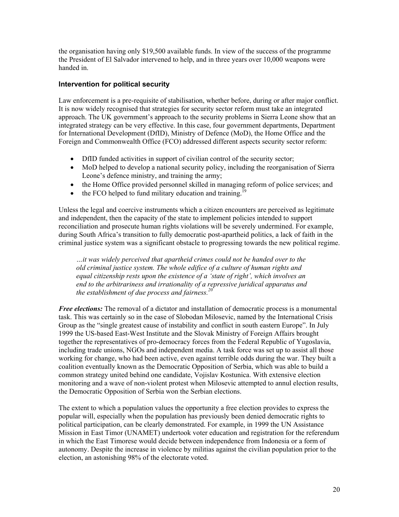the organisation having only \$19,500 available funds. In view of the success of the programme the President of El Salvador intervened to help, and in three years over 10,000 weapons were handed in.

# **Intervention for political security**

Law enforcement is a pre-requisite of stabilisation, whether before, during or after major conflict. It is now widely recognised that strategies for security sector reform must take an integrated approach. The UK government's approach to the security problems in Sierra Leone show that an integrated strategy can be very effective. In this case, four government departments, Department for International Development (DfID), Ministry of Defence (MoD), the Home Office and the Foreign and Commonwealth Office (FCO) addressed different aspects security sector reform:

- DfID funded activities in support of civilian control of the security sector;
- MoD helped to develop a national security policy, including the reorganisation of Sierra Leone's defence ministry, and training the army;
- the Home Office provided personnel skilled in managing reform of police services; and
- $\bullet$  the FCO helped to fund military education and training.<sup>19</sup>

Unless the legal and coercive instruments which a citizen encounters are perceived as legitimate and independent, then the capacity of the state to implement policies intended to support reconciliation and prosecute human rights violations will be severely undermined. For example, during South Africa's transition to fully democratic post-apartheid politics, a lack of faith in the criminal justice system was a significant obstacle to progressing towards the new political regime.

*…it was widely perceived that apartheid crimes could not be handed over to the old criminal justice system. The whole edifice of a culture of human rights and equal citizenship rests upon the existence of a 'state of right', which involves an end to the arbitrariness and irrationality of a repressive juridical apparatus and the establishment of due process and fairness.<sup>20</sup>*

*Free elections:* The removal of a dictator and installation of democratic process is a monumental task. This was certainly so in the case of Slobodan Milosevic, named by the International Crisis Group as the "single greatest cause of instability and conflict in south eastern Europe". In July 1999 the US-based East-West Institute and the Slovak Ministry of Foreign Affairs brought together the representatives of pro-democracy forces from the Federal Republic of Yugoslavia, including trade unions, NGOs and independent media. A task force was set up to assist all those working for change, who had been active, even against terrible odds during the war. They built a coalition eventually known as the Democratic Opposition of Serbia, which was able to build a common strategy united behind one candidate, Vojislav Kostunica. With extensive election monitoring and a wave of non-violent protest when Milosevic attempted to annul election results, the Democratic Opposition of Serbia won the Serbian elections.

The extent to which a population values the opportunity a free election provides to express the popular will, especially when the population has previously been denied democratic rights to political participation, can be clearly demonstrated. For example, in 1999 the UN Assistance Mission in East Timor (UNAMET) undertook voter education and registration for the referendum in which the East Timorese would decide between independence from Indonesia or a form of autonomy. Despite the increase in violence by militias against the civilian population prior to the election, an astonishing 98% of the electorate voted.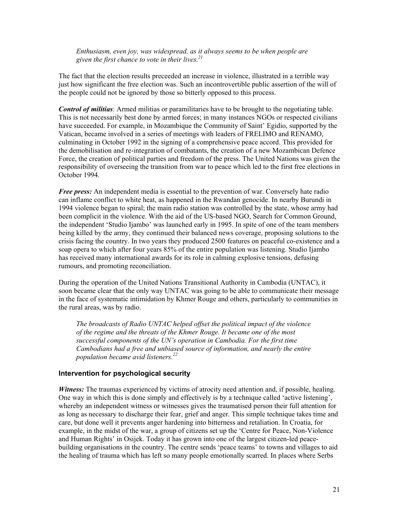*Enthusiasm, even joy, was widespread, as it always seems to be when people are given the first chance to vote in their lives.21* 

The fact that the election results preceeded an increase in violence, illustrated in a terrible way just how significant the free election was. Such an incontrovertible public assertion of the will of the people could not be ignored by those so bitterly opposed to this process.

*Control of militias*: Armed militias or paramilitaries have to be brought to the negotiating table. This is not necessarily best done by armed forces; in many instances NGOs or respected civilians have succeeded. For example, in Mozambique the Community of Saint' Egidio, supported by the Vatican, became involved in a series of meetings with leaders of FRELIMO and RENAMO, culminating in October 1992 in the signing of a comprehensive peace accord. This provided for the demobilisation and re-integration of combatants, the creation of a new Mozambican Defence Force, the creation of political parties and freedom of the press. The United Nations was given the responsibility of overseeing the transition from war to peace which led to the first free elections in October 1994.

*Free press:* An independent media is essential to the prevention of war. Conversely hate radio can inflame conflict to white heat, as happened in the Rwandan genocide. In nearby Burundi in 1994 violence began to spiral; the main radio station was controlled by the state, whose army had been complicit in the violence. With the aid of the US-based NGO, Search for Common Ground, the independent 'Studio Ijambo' was launched early in 1995. In spite of one of the team members being killed by the army, they continued their balanced news coverage, proposing solutions to the crisis facing the country. In two years they produced 2500 features on peaceful co-existence and a soap opera to which after four years 85% of the entire population was listening. Studio Ijambo has received many international awards for its role in calming explosive tensions, defusing rumours, and promoting reconciliation.

During the operation of the United Nations Transitional Authority in Cambodia (UNTAC), it soon became clear that the only way UNTAC was going to be able to communicate their message in the face of systematic intimidation by Khmer Rouge and others, particularly to communities in the rural areas, was by radio.

*The broadcasts of Radio UNTAC helped offset the political impact of the violence of the regime and the threats of the Khmer Rouge. It became one of the most successful components of the UN's operation in Cambodia. For the first time Cambodians had a free and unbiased source of information, and nearly the entire population became avid listeners.22*

#### **Intervention for psychological security**

*Witness:* The traumas experienced by victims of atrocity need attention and, if possible, healing. One way in which this is done simply and effectively is by a technique called 'active listening', whereby an independent witness or witnesses gives the traumatised person their full attention for as long as necessary to discharge their fear, grief and anger. This simple technique takes time and care, but done well it prevents anger hardening into bitterness and retaliation. In Croatia, for example, in the midst of the war, a group of citizens set up the 'Centre for Peace, Non-Violence and Human Rights' in Osijek. Today it has grown into one of the largest citizen-led peacebuilding organisations in the country. The centre sends 'peace teams' to towns and villages to aid the healing of trauma which has left so many people emotionally scarred. In places where Serbs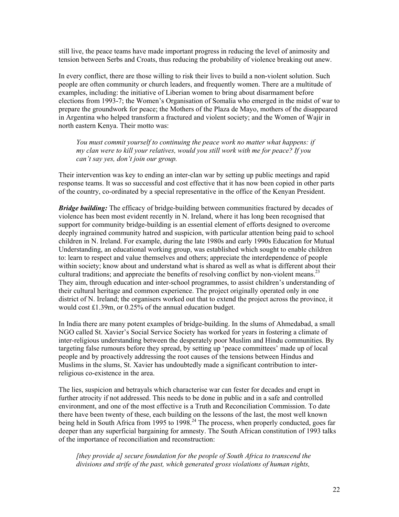still live, the peace teams have made important progress in reducing the level of animosity and tension between Serbs and Croats, thus reducing the probability of violence breaking out anew.

In every conflict, there are those willing to risk their lives to build a non-violent solution. Such people are often community or church leaders, and frequently women. There are a multitude of examples, including: the initiative of Liberian women to bring about disarmament before elections from 1993-7; the Women's Organisation of Somalia who emerged in the midst of war to prepare the groundwork for peace; the Mothers of the Plaza de Mayo, mothers of the disappeared in Argentina who helped transform a fractured and violent society; and the Women of Wajir in north eastern Kenya. Their motto was:

*You must commit yourself to continuing the peace work no matter what happens: if my clan were to kill your relatives, would you still work with me for peace? If you can't say yes, don't join our group.* 

Their intervention was key to ending an inter-clan war by setting up public meetings and rapid response teams. It was so successful and cost effective that it has now been copied in other parts of the country, co-ordinated by a special representative in the office of the Kenyan President.

*Bridge building:* The efficacy of bridge-building between communities fractured by decades of violence has been most evident recently in N. Ireland, where it has long been recognised that support for community bridge-building is an essential element of efforts designed to overcome deeply ingrained community hatred and suspicion, with particular attention being paid to school children in N. Ireland. For example, during the late 1980s and early 1990s Education for Mutual Understanding, an educational working group, was established which sought to enable children to: learn to respect and value themselves and others; appreciate the interdependence of people within society; know about and understand what is shared as well as what is different about their cultural traditions; and appreciate the benefits of resolving conflict by non-violent means.<sup>23</sup> They aim, through education and inter-school programmes, to assist children's understanding of their cultural heritage and common experience. The project originally operated only in one district of N. Ireland; the organisers worked out that to extend the project across the province, it would cost £1.39m, or 0.25% of the annual education budget.

In India there are many potent examples of bridge-building. In the slums of Ahmedabad, a small NGO called St. Xavier's Social Service Society has worked for years in fostering a climate of inter-religious understanding between the desperately poor Muslim and Hindu communities. By targeting false rumours before they spread, by setting up 'peace committees' made up of local people and by proactively addressing the root causes of the tensions between Hindus and Muslims in the slums, St. Xavier has undoubtedly made a significant contribution to interreligious co-existence in the area.

The lies, suspicion and betrayals which characterise war can fester for decades and erupt in further atrocity if not addressed. This needs to be done in public and in a safe and controlled environment, and one of the most effective is a Truth and Reconciliation Commission. To date there have been twenty of these, each building on the lessons of the last, the most well known being held in South Africa from 1995 to 1998.<sup>24</sup> The process, when properly conducted, goes far deeper than any superficial bargaining for amnesty. The South African constitution of 1993 talks of the importance of reconciliation and reconstruction:

*[they provide a] secure foundation for the people of South Africa to transcend the divisions and strife of the past, which generated gross violations of human rights,*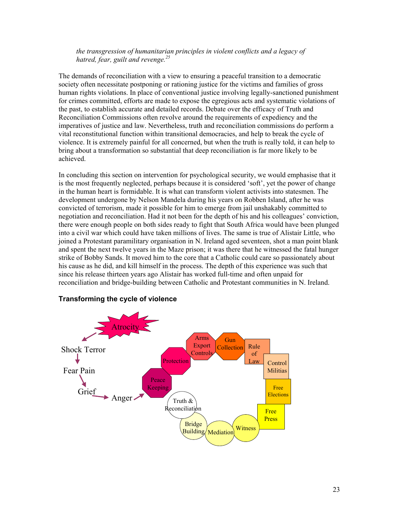*the transgression of humanitarian principles in violent conflicts and a legacy of hatred, fear, guilt and revenge.25*

The demands of reconciliation with a view to ensuring a peaceful transition to a democratic society often necessitate postponing or rationing justice for the victims and families of gross human rights violations. In place of conventional justice involving legally-sanctioned punishment for crimes committed, efforts are made to expose the egregious acts and systematic violations of the past, to establish accurate and detailed records. Debate over the efficacy of Truth and Reconciliation Commissions often revolve around the requirements of expediency and the imperatives of justice and law. Nevertheless, truth and reconciliation commissions do perform a vital reconstitutional function within transitional democracies, and help to break the cycle of violence. It is extremely painful for all concerned, but when the truth is really told, it can help to bring about a transformation so substantial that deep reconciliation is far more likely to be achieved.

In concluding this section on intervention for psychological security, we would emphasise that it is the most frequently neglected, perhaps because it is considered 'soft', yet the power of change in the human heart is formidable. It is what can transform violent activists into statesmen. The development undergone by Nelson Mandela during his years on Robben Island, after he was convicted of terrorism, made it possible for him to emerge from jail unshakably committed to negotiation and reconciliation. Had it not been for the depth of his and his colleagues' conviction, there were enough people on both sides ready to fight that South Africa would have been plunged into a civil war which could have taken millions of lives. The same is true of Alistair Little, who joined a Protestant paramilitary organisation in N. Ireland aged seventeen, shot a man point blank and spent the next twelve years in the Maze prison; it was there that he witnessed the fatal hunger strike of Bobby Sands. It moved him to the core that a Catholic could care so passionately about his cause as he did, and kill himself in the process. The depth of this experience was such that since his release thirteen years ago Alistair has worked full-time and often unpaid for reconciliation and bridge-building between Catholic and Protestant communities in N. Ireland.



#### **Transforming the cycle of violence**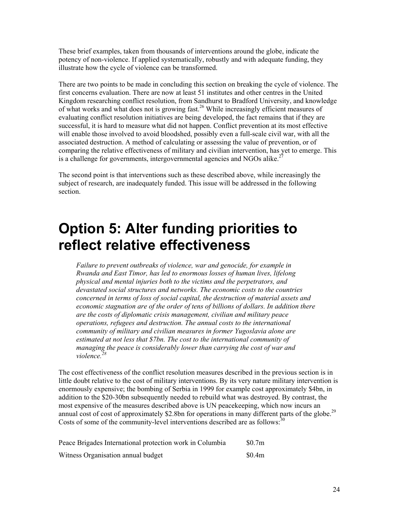These brief examples, taken from thousands of interventions around the globe, indicate the potency of non-violence. If applied systematically, robustly and with adequate funding, they illustrate how the cycle of violence can be transformed.

There are two points to be made in concluding this section on breaking the cycle of violence. The first concerns evaluation. There are now at least 51 institutes and other centres in the United Kingdom researching conflict resolution, from Sandhurst to Bradford University, and knowledge of what works and what does not is growing fast.<sup>26</sup> While increasingly efficient measures of evaluating conflict resolution initiatives are being developed, the fact remains that if they are successful, it is hard to measure what did not happen. Conflict prevention at its most effective will enable those involved to avoid bloodshed, possibly even a full-scale civil war, with all the associated destruction. A method of calculating or assessing the value of prevention, or of comparing the relative effectiveness of military and civilian intervention, has yet to emerge. This is a challenge for governments, intergovernmental agencies and NGOs alike.<sup>2</sup>

The second point is that interventions such as these described above, while increasingly the subject of research, are inadequately funded. This issue will be addressed in the following section.

# **Option 5: Alter funding priorities to reflect relative effectiveness**

*Failure to prevent outbreaks of violence, war and genocide, for example in Rwanda and East Timor, has led to enormous losses of human lives, lifelong physical and mental injuries both to the victims and the perpetrators, and devastated social structures and networks. The economic costs to the countries concerned in terms of loss of social capital, the destruction of material assets and economic stagnation are of the order of tens of billions of dollars. In addition there are the costs of diplomatic crisis management, civilian and military peace operations, refugees and destruction. The annual costs to the international community of military and civilian measures in former Yugoslavia alone are estimated at not less that \$7bn. The cost to the international community of managing the peace is considerably lower than carrying the cost of war and violence.<sup>28</sup>*

The cost effectiveness of the conflict resolution measures described in the previous section is in little doubt relative to the cost of military interventions. By its very nature military intervention is enormously expensive; the bombing of Serbia in 1999 for example cost approximately \$4bn, in addition to the \$20-30bn subsequently needed to rebuild what was destroyed. By contrast, the most expensive of the measures described above is UN peacekeeping, which now incurs an annual cost of cost of approximately \$2.8bn for operations in many different parts of the globe.<sup>29</sup> Costs of some of the community-level interventions described are as follows:<sup>30</sup>

| Peace Brigades International protection work in Columbia | \$0.7m |
|----------------------------------------------------------|--------|
| Witness Organisation annual budget                       | \$0.4m |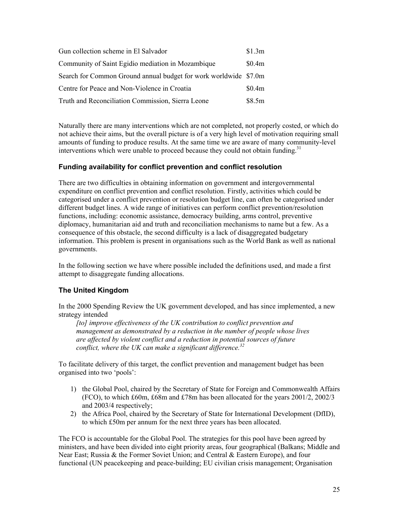| Gun collection scheme in El Salvador                             | \$1.3m |
|------------------------------------------------------------------|--------|
| Community of Saint Egidio mediation in Mozambique                | \$0.4m |
| Search for Common Ground annual budget for work worldwide \$7.0m |        |
| Centre for Peace and Non-Violence in Croatia                     | \$0.4m |
| Truth and Reconciliation Commission, Sierra Leone                | \$8.5m |

Naturally there are many interventions which are not completed, not properly costed, or which do not achieve their aims, but the overall picture is of a very high level of motivation requiring small amounts of funding to produce results. At the same time we are aware of many community-level interventions which were unable to proceed because they could not obtain funding.<sup>31</sup>

# **Funding availability for conflict prevention and conflict resolution**

There are two difficulties in obtaining information on government and intergovernmental expenditure on conflict prevention and conflict resolution. Firstly, activities which could be categorised under a conflict prevention or resolution budget line, can often be categorised under different budget lines. A wide range of initiatives can perform conflict prevention/resolution functions, including: economic assistance, democracy building, arms control, preventive diplomacy, humanitarian aid and truth and reconciliation mechanisms to name but a few. As a consequence of this obstacle, the second difficulty is a lack of disaggregated budgetary information. This problem is present in organisations such as the World Bank as well as national governments.

In the following section we have where possible included the definitions used, and made a first attempt to disaggregate funding allocations.

# **The United Kingdom**

In the 2000 Spending Review the UK government developed, and has since implemented, a new strategy intended

*[to] improve effectiveness of the UK contribution to conflict prevention and management as demonstrated by a reduction in the number of people whose lives are affected by violent conflict and a reduction in potential sources of future conflict, where the UK can make a significant difference.32* 

To facilitate delivery of this target, the conflict prevention and management budget has been organised into two 'pools':

- 1) the Global Pool, chaired by the Secretary of State for Foreign and Commonwealth Affairs (FCO), to which £60m, £68m and £78m has been allocated for the years 2001/2, 2002/3 and 2003/4 respectively;
- 2) the Africa Pool, chaired by the Secretary of State for International Development (DfID), to which £50m per annum for the next three years has been allocated.

The FCO is accountable for the Global Pool. The strategies for this pool have been agreed by ministers, and have been divided into eight priority areas, four geographical (Balkans; Middle and Near East; Russia & the Former Soviet Union; and Central & Eastern Europe), and four functional (UN peacekeeping and peace-building; EU civilian crisis management; Organisation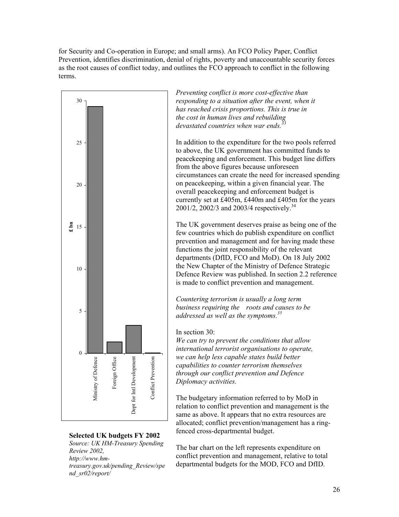for Security and Co-operation in Europe; and small arms). An FCO Policy Paper, Conflict Prevention, identifies discrimination, denial of rights, poverty and unaccountable security forces as the root causes of conflict today, and outlines the FCO approach to conflict in the following terms.



*Source: UK HM-Treasury Spending Review 2002, http://www.hmtreasury.gov.uk/pending\_Review/spe nd\_sr02/report/*

*Preventing conflict is more cost-effective than responding to a situation after the event, when it has reached crisis proportions. This is true in the cost in human lives and rebuilding*  devastated countries when war ends.<sup>3</sup>

In addition to the expenditure for the two pools referred to above, the UK government has committed funds to peacekeeping and enforcement. This budget line differs from the above figures because unforeseen circumstances can create the need for increased s pending on peacekeeping, within a given financial year. The overall peacekeeping and enforcement budget is currently set at £405m, £440m and £405m for the years 2001/2, 2002/3 and 2003/4 respectively.<sup>34</sup>

The UK government deserves praise as being one of the few countries which do publish expenditure on conflict prevention and management and for having made these functions the joint responsibility of the relevant departments (DfID, FCO and MoD). On 18 July 2002 the New Chapter of the Ministry of Defence Strategic Defence Review was published. In section 2.2 reference is made to conflict prevention and management.

*Countering terrorism is usually a long term business requiring the roots and causes to be addressed as well as the symptoms.<sup>35</sup>*

#### In section 30:

*We can try to prevent the conditions that allow international terrorist organisations to operate, we can help less capable states build better capabilities to counter terrorism themselves through our conflict prevention and Defence Diplomacy activities.* 

The budgetary information referred to by MoD in relation to conflict prevention and management is the same as above. It appears that no extra resources are allocated; conflict prevention/management has a ringfenced cross-departmental budget. **Selected UK budgets FY 2002** 

> The bar chart on the left represents expenditure on conflict prevention and management, relative to total departmental budgets for the MOD, FCO and DfID.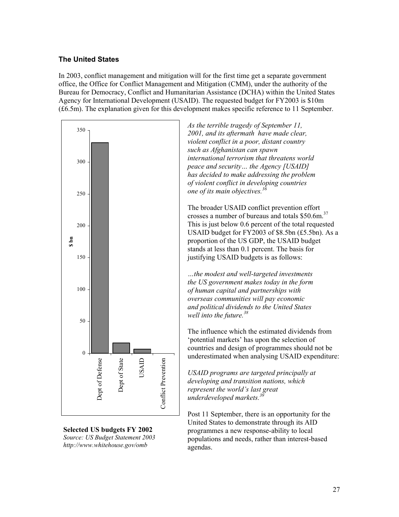# **The United States**

In 2003, conflict management and mitigation will for the first time get a separate government office, the Office for Conflict Management and Mitigation (CMM), under the authority of the Bureau for Democracy, Conflict and Humanitarian Assistance (DCHA) within the United States Agency for International Development (USAID). The requested budget for FY2003 is \$10m (£6.5m). The explanation given for this development makes specific reference to 11 September.



**Selected US budgets FY 2002**  *Source: US Budget Statement 2003 http://www.whitehouse.gov/omb*

*As the terrible tragedy of September 11, 2001, and its aftermath have made clear, violent conflict in a poor, distant country such as Afghanistan can spawn international terrorism that threatens world peace and security… the Agency [USAID] has decided to make addressing the problem of violent conflict in developing countries one of its main objectives.36*

The broader USAID conflict prevention effort crosses a number of bureaus and totals \$50.6m. 37 This is just below 0.6 percent of the total requested USAID budget for FY2003 of \$8.5bn (£5.5bn). As a proportion of the US GDP, the USAID budget stands at less than 0.1 percent. The basis for justifying USAID budgets is as follows:

*…the modest and well-targeted investments the US government makes today in the form of human capital and partnerships with overseas communities will pay economic and political dividends to the United States well into the future.<sup>38</sup>*

The influence which the estimated dividends from 'potential markets' has upon the selection of countries and design of programmes should not be underestimated when analysing USAID expenditure:

*USAID programs are targeted principally at developing and transition nations, which represent the world's last great underdeveloped markets.*<sup>39</sup>

Post 11 September, there is an opportunity for the United States to demonstrate through its AID programmes a new response-ability to local populations and needs, rather than interest-based agendas.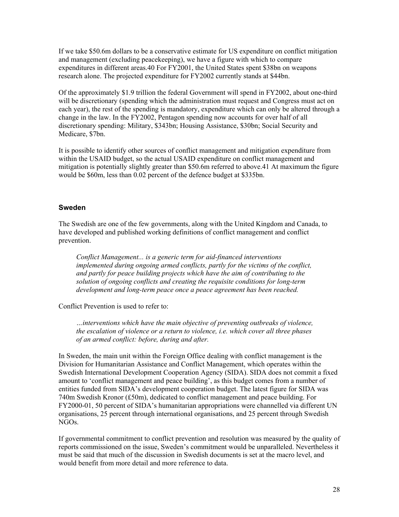If we take \$50.6m dollars to be a conservative estimate for US expenditure on conflict mitigation and management (excluding peacekeeping), we have a figure with which to compare expenditures in different areas.40 For FY2001, the United States spent \$38bn on weapons research alone. The projected expenditure for FY2002 currently stands at \$44bn.

Of the approximately \$1.9 trillion the federal Government will spend in FY2002, about one-third will be discretionary (spending which the administration must request and Congress must act on each year), the rest of the spending is mandatory, expenditure which can only be altered through a change in the law. In the FY2002, Pentagon spending now accounts for over half of all discretionary spending: Military, \$343bn; Housing Assistance, \$30bn; Social Security and Medicare, \$7bn.

It is possible to identify other sources of conflict management and mitigation expenditure from within the USAID budget, so the actual USAID expenditure on conflict management and mitigation is potentially slightly greater than \$50.6m referred to above.41 At maximum the figure would be \$60m, less than 0.02 percent of the defence budget at \$335bn.

#### **Sweden**

The Swedish are one of the few governments, along with the United Kingdom and Canada, to have developed and published working definitions of conflict management and conflict prevention.

*Conflict Management... is a generic term for aid-financed interventions implemented during ongoing armed conflicts, partly for the victims of the conflict, and partly for peace building projects which have the aim of contributing to the solution of ongoing conflicts and creating the requisite conditions for long-term development and long-term peace once a peace agreement has been reached.* 

Conflict Prevention is used to refer to:

*…interventions which have the main objective of preventing outbreaks of violence, the escalation of violence or a return to violence, i.e. which cover all three phases of an armed conflict: before, during and after.* 

In Sweden, the main unit within the Foreign Office dealing with conflict management is the Division for Humanitarian Assistance and Conflict Management, which operates within the Swedish International Development Cooperation Agency (SIDA). SIDA does not commit a fixed amount to 'conflict management and peace building', as this budget comes from a number of entities funded from SIDA's development cooperation budget. The latest figure for SIDA was 740m Swedish Kronor (£50m), dedicated to conflict management and peace building. For FY2000-01, 50 percent of SIDA's humanitarian appropriations were channelled via different UN organisations, 25 percent through international organisations, and 25 percent through Swedish NGOs.

If governmental commitment to conflict prevention and resolution was measured by the quality of reports commissioned on the issue, Sweden's commitment would be unparalleled. Nevertheless it must be said that much of the discussion in Swedish documents is set at the macro level, and would benefit from more detail and more reference to data.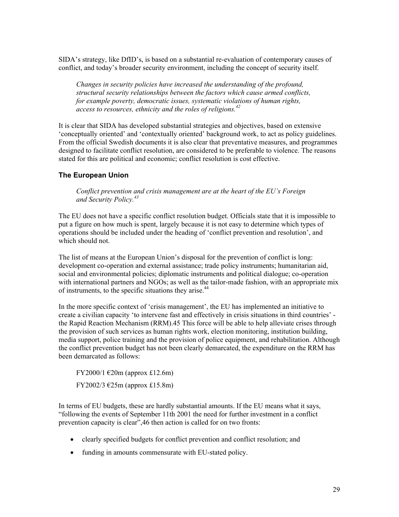SIDA's strategy, like DfID's, is based on a substantial re-evaluation of contemporary causes of conflict, and today's broader security environment, including the concept of security itself.

*Changes in security policies have increased the understanding of the profound, structural security relationships between the factors which cause armed conflicts, for example poverty, democratic issues, systematic violations of human rights, access to resources, ethnicity and the roles of religions.<sup>42</sup>*

It is clear that SIDA has developed substantial strategies and objectives, based on extensive 'conceptually oriented' and 'contextually oriented' background work, to act as policy guidelines. From the official Swedish documents it is also clear that preventative measures, and programmes designed to facilitate conflict resolution, are considered to be preferable to violence. The reasons stated for this are political and economic; conflict resolution is cost effective.

#### **The European Union**

*Conflict prevention and crisis management are at the heart of the EU's Foreign and Security Policy.<sup>43</sup>*

The EU does not have a specific conflict resolution budget. Officials state that it is impossible to put a figure on how much is spent, largely because it is not easy to determine which types of operations should be included under the heading of 'conflict prevention and resolution', and which should not.

The list of means at the European Union's disposal for the prevention of conflict is long: development co-operation and external assistance; trade policy instruments; humanitarian aid, social and environmental policies; diplomatic instruments and political dialogue; co-operation with international partners and NGOs; as well as the tailor-made fashion, with an appropriate mix of instruments, to the specific situations they arise.<sup>44</sup>

In the more specific context of 'crisis management', the EU has implemented an initiative to create a civilian capacity 'to intervene fast and effectively in crisis situations in third countries' the Rapid Reaction Mechanism (RRM).45 This force will be able to help alleviate crises through the provision of such services as human rights work, election monitoring, institution building, media support, police training and the provision of police equipment, and rehabilitation. Although the conflict prevention budget has not been clearly demarcated, the expenditure on the RRM has been demarcated as follows:

FY2000/1 €20m (approx £12.6m) FY2002/3 €25m (approx £15.8m)

In terms of EU budgets, these are hardly substantial amounts. If the EU means what it says, "following the events of September 11th 2001 the need for further investment in a conflict prevention capacity is clear",46 then action is called for on two fronts:

- clearly specified budgets for conflict prevention and conflict resolution; and
- funding in amounts commensurate with EU-stated policy.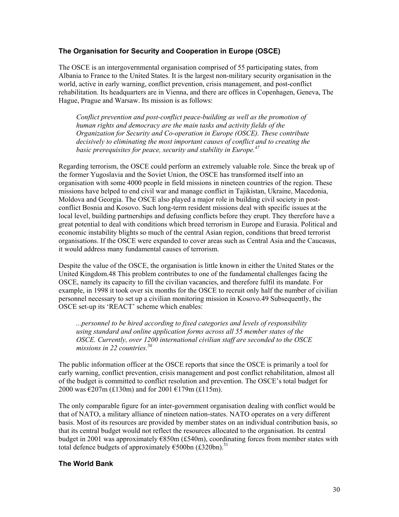# **The Organisation for Security and Cooperation in Europe (OSCE)**

The OSCE is an intergovernmental organisation comprised of 55 participating states, from Albania to France to the United States. It is the largest non-military security organisation in the world, active in early warning, conflict prevention, crisis management, and post-conflict rehabilitation. Its headquarters are in Vienna, and there are offices in Copenhagen, Geneva, The Hague, Prague and Warsaw. Its mission is as follows:

*Conflict prevention and post-conflict peace-building as well as the promotion of human rights and democracy are the main tasks and activity fields of the Organization for Security and Co-operation in Europe (OSCE). These contribute decisively to eliminating the most important causes of conflict and to creating the basic prerequisites for peace, security and stability in Europe.47*

Regarding terrorism, the OSCE could perform an extremely valuable role. Since the break up of the former Yugoslavia and the Soviet Union, the OSCE has transformed itself into an organisation with some 4000 people in field missions in nineteen countries of the region. These missions have helped to end civil war and manage conflict in Tajikistan, Ukraine, Macedonia, Moldova and Georgia. The OSCE also played a major role in building civil society in postconflict Bosnia and Kosovo. Such long-term resident missions deal with specific issues at the local level, building partnerships and defusing conflicts before they erupt. They therefore have a great potential to deal with conditions which breed terrorism in Europe and Eurasia. Political and economic instability blights so much of the central Asian region, conditions that breed terrorist organisations. If the OSCE were expanded to cover areas such as Central Asia and the Caucasus, it would address many fundamental causes of terrorism.

Despite the value of the OSCE, the organisation is little known in either the United States or the United Kingdom.48 This problem contributes to one of the fundamental challenges facing the OSCE, namely its capacity to fill the civilian vacancies, and therefore fulfil its mandate. For example, in 1998 it took over six months for the OSCE to recruit only half the number of civilian personnel necessary to set up a civilian monitoring mission in Kosovo.49 Subsequently, the OSCE set-up its 'REACT' scheme which enables:

*...personnel to be hired according to fixed categories and levels of responsibility using standard and online application forms across all 55 member states of the OSCE. Currently, over 1200 international civilian staff are seconded to the OSCE missions in 22 countries.<sup>50</sup>*

The public information officer at the OSCE reports that since the OSCE is primarily a tool for early warning, conflict prevention, crisis management and post conflict rehabilitation, almost all of the budget is committed to conflict resolution and prevention. The OSCE's total budget for 2000 was €207m (£130m) and for 2001 €179m (£115m).

The only comparable figure for an inter-government organisation dealing with conflict would be that of NATO, a military alliance of nineteen nation-states. NATO operates on a very different basis. Most of its resources are provided by member states on an individual contribution basis, so that its central budget would not reflect the resources allocated to the organisation. Its central budget in 2001 was approximately  $E$ 850m (£540m), coordinating forces from member states with total defence budgets of approximately  $\epsilon$ 500bn (£320bn).<sup>51</sup>

#### **The World Bank**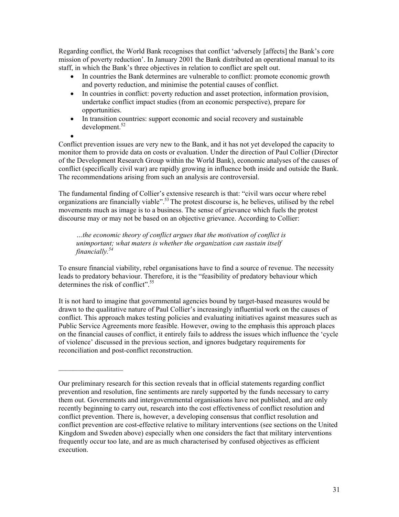Regarding conflict, the World Bank recognises that conflict 'adversely [affects] the Bank's core mission of poverty reduction'. In January 2001 the Bank distributed an operational manual to its staff, in which the Bank's three objectives in relation to conflict are spelt out.

- In countries the Bank determines are vulnerable to conflict: promote economic growth and poverty reduction, and minimise the potential causes of conflict.
- In countries in conflict: poverty reduction and asset protection, information provision, undertake conflict impact studies (from an economic perspective), prepare for opportunities.
- In transition countries: support economic and social recovery and sustainable  $develoment.<sup>52</sup>$
- •

Conflict prevention issues are very new to the Bank, and it has not yet developed the capacity to monitor them to provide data on costs or evaluation. Under the direction of Paul Collier (Director of the Development Research Group within the World Bank), economic analyses of the causes of conflict (specifically civil war) are rapidly growing in influence both inside and outside the Bank. The recommendations arising from such an analysis are controversial.

The fundamental finding of Collier's extensive research is that: "civil wars occur where rebel organizations are financially viable".<sup>53</sup> The protest discourse is, he believes, utilised by the rebel movements much as image is to a business. The sense of grievance which fuels the protest discourse may or may not be based on an objective grievance. According to Collier:

*…the economic theory of conflict argues that the motivation of conflict is unimportant; what maters is whether the organization can sustain itself financially.54* 

To ensure financial viability, rebel organisations have to find a source of revenue. The necessity leads to predatory behaviour. Therefore, it is the "feasibility of predatory behaviour which determines the risk of conflict".<sup>55</sup>

It is not hard to imagine that governmental agencies bound by target-based measures would be drawn to the qualitative nature of Paul Collier's increasingly influential work on the causes of conflict. This approach makes testing policies and evaluating initiatives against measures such as Public Service Agreements more feasible. However, owing to the emphasis this approach places on the financial causes of conflict, it entirely fails to address the issues which influence the 'cycle of violence' discussed in the previous section, and ignores budgetary requirements for reconciliation and post-conflict reconstruction.

Our preliminary research for this section reveals that in official statements regarding conflict prevention and resolution, fine sentiments are rarely supported by the funds necessary to carry them out. Governments and intergovernmental organisations have not published, and are only recently beginning to carry out, research into the cost effectiveness of conflict resolution and conflict prevention. There is, however, a developing consensus that conflict resolution and conflict prevention are cost-effective relative to military interventions (see sections on the United Kingdom and Sweden above) especially when one considers the fact that military interventions frequently occur too late, and are as much characterised by confused objectives as efficient execution.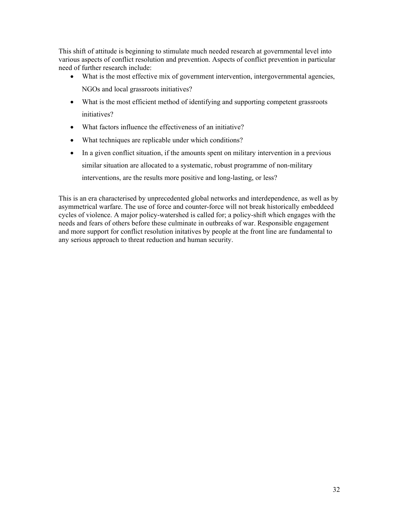This shift of attitude is beginning to stimulate much needed research at governmental level into various aspects of conflict resolution and prevention. Aspects of conflict prevention in particular need of further research include:

- What is the most effective mix of government intervention, intergovernmental agencies, NGOs and local grassroots initiatives?
- What is the most efficient method of identifying and supporting competent grassroots initiatives?
- What factors influence the effectiveness of an initiative?
- What techniques are replicable under which conditions?
- In a given conflict situation, if the amounts spent on military intervention in a previous similar situation are allocated to a systematic, robust programme of non-military interventions, are the results more positive and long-lasting, or less?

This is an era characterised by unprecedented global networks and interdependence, as well as by asymmetrical warfare. The use of force and counter-force will not break historically embeddeed cycles of violence. A major policy-watershed is called for; a policy-shift which engages with the needs and fears of others before these culminate in outbreaks of war. Responsible engagement and more support for conflict resolution initatives by people at the front line are fundamental to any serious approach to threat reduction and human security.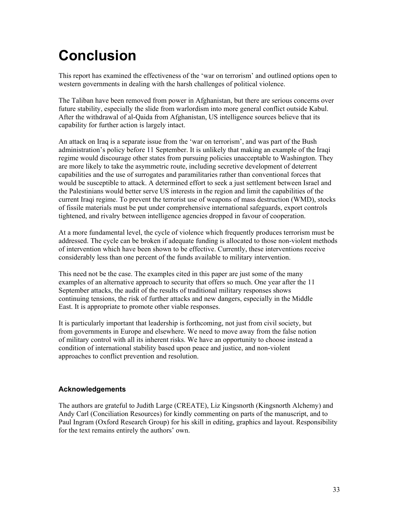# **Conclusion**

This report has examined the effectiveness of the 'war on terrorism' and outlined options open to western governments in dealing with the harsh challenges of political violence.

The Taliban have been removed from power in Afghanistan, but there are serious concerns over future stability, especially the slide from warlordism into more general conflict outside Kabul. After the withdrawal of al-Qaida from Afghanistan, US intelligence sources believe that its capability for further action is largely intact.

An attack on Iraq is a separate issue from the 'war on terrorism', and was part of the Bush administration's policy before 11 September. It is unlikely that making an example of the Iraqi regime would discourage other states from pursuing policies unacceptable to Washington. They are more likely to take the asymmetric route, including secretive development of deterrent capabilities and the use of surrogates and paramilitaries rather than conventional forces that would be susceptible to attack. A determined effort to seek a just settlement between Israel and the Palestinians would better serve US interests in the region and limit the capabilities of the current Iraqi regime. To prevent the terrorist use of weapons of mass destruction (WMD), stocks of fissile materials must be put under comprehensive international safeguards, export controls tightened, and rivalry between intelligence agencies dropped in favour of cooperation.

At a more fundamental level, the cycle of violence which frequently produces terrorism must be addressed. The cycle can be broken if adequate funding is allocated to those non-violent methods of intervention which have been shown to be effective. Currently, these interventions receive considerably less than one percent of the funds available to military intervention.

This need not be the case. The examples cited in this paper are just some of the many examples of an alternative approach to security that offers so much. One year after the 11 September attacks, the audit of the results of traditional military responses shows continuing tensions, the risk of further attacks and new dangers, especially in the Middle East. It is appropriate to promote other viable responses.

It is particularly important that leadership is forthcoming, not just from civil society, but from governments in Europe and elsewhere. We need to move away from the false notion of military control with all its inherent risks. We have an opportunity to choose instead a condition of international stability based upon peace and justice, and non-violent approaches to conflict prevention and resolution.

# **Acknowledgements**

The authors are grateful to Judith Large (CREATE), Liz Kingsnorth (Kingsnorth Alchemy) and Andy Carl (Conciliation Resources) for kindly commenting on parts of the manuscript, and to Paul Ingram (Oxford Research Group) for his skill in editing, graphics and layout. Responsibility for the text remains entirely the authors' own.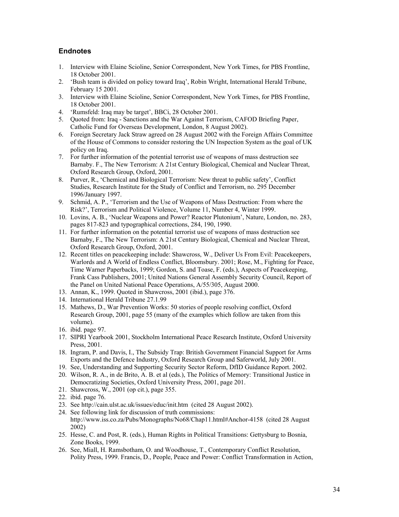### **Endnotes**

- 1. Interview with Elaine Scioline, Senior Correspondent, New York Times, for PBS Frontline, 18 October 2001.
- 2. 'Bush team is divided on policy toward Iraq', Robin Wright, International Herald Tribune, February 15 2001.
- 3. Interview with Elaine Scioline, Senior Correspondent, New York Times, for PBS Frontline, 18 October 2001.
- 4. 'Rumsfeld: Iraq may be target', BBCi, 28 October 2001.
- 5. Quoted from: Iraq Sanctions and the War Against Terrorism, CAFOD Briefing Paper, Catholic Fund for Overseas Development, London, 8 August 2002).
- 6. Foreign Secretary Jack Straw agreed on 28 August 2002 with the Foreign Affairs Committee of the House of Commons to consider restoring the UN Inspection System as the goal of UK policy on Iraq.
- 7. For further information of the potential terrorist use of weapons of mass destruction see Barnaby. F., The New Terrorism: A 21st Century Biological, Chemical and Nuclear Threat, Oxford Research Group, Oxford, 2001.
- 8. Purver, R., 'Chemical and Biological Terrorism: New threat to public safety', Conflict Studies, Research Institute for the Study of Conflict and Terrorism, no. 295 December 1996/January 1997.
- 9. Schmid, A. P., 'Terrorism and the Use of Weapons of Mass Destruction: From where the Risk?', Terrorism and Political Violence, Volume 11, Number 4, Winter 1999.
- 10. Lovins, A. B., 'Nuclear Weapons and Power? Reactor Plutonium', Nature, London, no. 283, pages 817-823 and typographical corrections, 284, 190, 1990.
- 11. For further information on the potential terrorist use of weapons of mass destruction see Barnaby, F., The New Terrorism: A 21st Century Biological, Chemical and Nuclear Threat, Oxford Research Group, Oxford, 2001.
- 12. Recent titles on peacekeeping include: Shawcross, W., Deliver Us From Evil: Peacekeepers, Warlords and A World of Endless Conflict, Bloomsbury. 2001; Rose, M., Fighting for Peace, Time Warner Paperbacks, 1999; Gordon, S. and Toase, F. (eds.), Aspects of Peacekeeping, Frank Cass Publishers, 2001; United Nations General Assembly Security Council, Report of the Panel on United National Peace Operations, A/55/305, August 2000.
- 13. Annan, K., 1999. Quoted in Shawcross, 2001 (ibid.), page 376.
- 14. International Herald Tribune 27.1.99
- 15. Mathews, D., War Prevention Works: 50 stories of people resolving conflict, Oxford Research Group, 2001, page 55 (many of the examples which follow are taken from this volume).
- 16. ibid. page 97.
- 17. SIPRI Yearbook 2001, Stockholm International Peace Research Institute, Oxford University Press, 2001.
- 18. Ingram, P. and Davis, I., The Subsidy Trap: British Government Financial Support for Arms Exports and the Defence Industry, Oxford Research Group and Saferworld, July 2001.
- 19. See, Understanding and Supporting Security Sector Reform, DfID Guidance Report. 2002.
- 20. Wilson, R. A., in de Brito, A. B. et al (eds.), The Politics of Memory: Transitional Justice in Democratizing Societies, Oxford University Press, 2001, page 201.
- 21. Shawcross, W., 2001 (op cit.), page 355.
- 22. ibid. page 76.
- 23. See http://cain.ulst.ac.uk/issues/educ/init.htm (cited 28 August 2002).
- 24. See following link for discussion of truth commissions: http://www.iss.co.za/Pubs/Monographs/No68/Chap11.html#Anchor-4158 (cited 28 August 2002)
- 25. Hesse, C. and Post, R. (eds.), Human Rights in Political Transitions: Gettysburg to Bosnia, Zone Books, 1999.
- 26. See, Miall, H. Ramsbotham, O. and Woodhouse, T., Contemporary Conflict Resolution, Polity Press, 1999. Francis, D., People, Peace and Power: Conflict Transformation in Action,